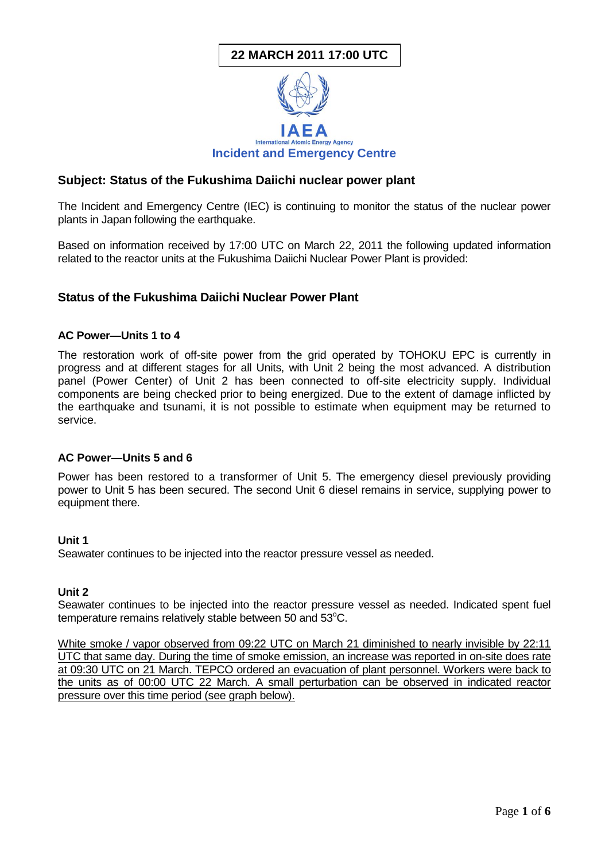## **22 MARCH 2011 17:00 UTC**



## **Subject: Status of the Fukushima Daiichi nuclear power plant**

The Incident and Emergency Centre (IEC) is continuing to monitor the status of the nuclear power plants in Japan following the earthquake.

Based on information received by 17:00 UTC on March 22, 2011 the following updated information related to the reactor units at the Fukushima Daiichi Nuclear Power Plant is provided:

## **Status of the Fukushima Daiichi Nuclear Power Plant**

#### **AC Power—Units 1 to 4**

The restoration work of off-site power from the grid operated by TOHOKU EPC is currently in progress and at different stages for all Units, with Unit 2 being the most advanced. A distribution panel (Power Center) of Unit 2 has been connected to off-site electricity supply. Individual components are being checked prior to being energized. Due to the extent of damage inflicted by the earthquake and tsunami, it is not possible to estimate when equipment may be returned to service.

#### **AC Power—Units 5 and 6**

Power has been restored to a transformer of Unit 5. The emergency diesel previously providing power to Unit 5 has been secured. The second Unit 6 diesel remains in service, supplying power to equipment there.

#### **Unit 1**

Seawater continues to be injected into the reactor pressure vessel as needed.

#### **Unit 2**

Seawater continues to be injected into the reactor pressure vessel as needed. Indicated spent fuel temperature remains relatively stable between 50 and 53°C.

White smoke / vapor observed from 09:22 UTC on March 21 diminished to nearly invisible by 22:11 UTC that same day. During the time of smoke emission, an increase was reported in on-site does rate at 09:30 UTC on 21 March. TEPCO ordered an evacuation of plant personnel. Workers were back to the units as of 00:00 UTC 22 March. A small perturbation can be observed in indicated reactor pressure over this time period (see graph below).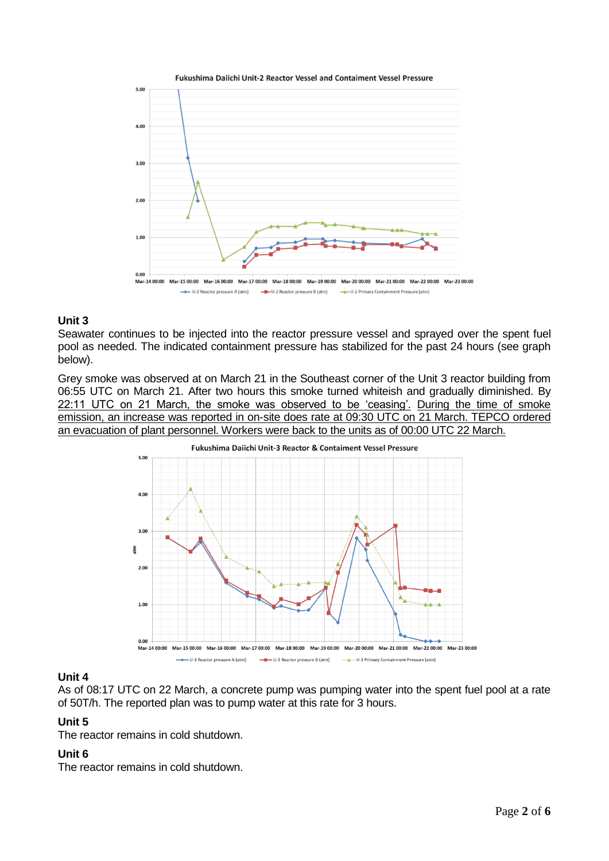

#### **Unit 3**

Seawater continues to be injected into the reactor pressure vessel and sprayed over the spent fuel pool as needed. The indicated containment pressure has stabilized for the past 24 hours (see graph below).

Grey smoke was observed at on March 21 in the Southeast corner of the Unit 3 reactor building from 06:55 UTC on March 21. After two hours this smoke turned whiteish and gradually diminished. By 22:11 UTC on 21 March, the smoke was observed to be 'ceasing'. During the time of smoke emission, an increase was reported in on-site does rate at 09:30 UTC on 21 March. TEPCO ordered an evacuation of plant personnel. Workers were back to the units as of 00:00 UTC 22 March.



#### **Unit 4**

As of 08:17 UTC on 22 March, a concrete pump was pumping water into the spent fuel pool at a rate of 50T/h. The reported plan was to pump water at this rate for 3 hours.

#### **Unit 5**

The reactor remains in cold shutdown.

#### **Unit 6**

The reactor remains in cold shutdown.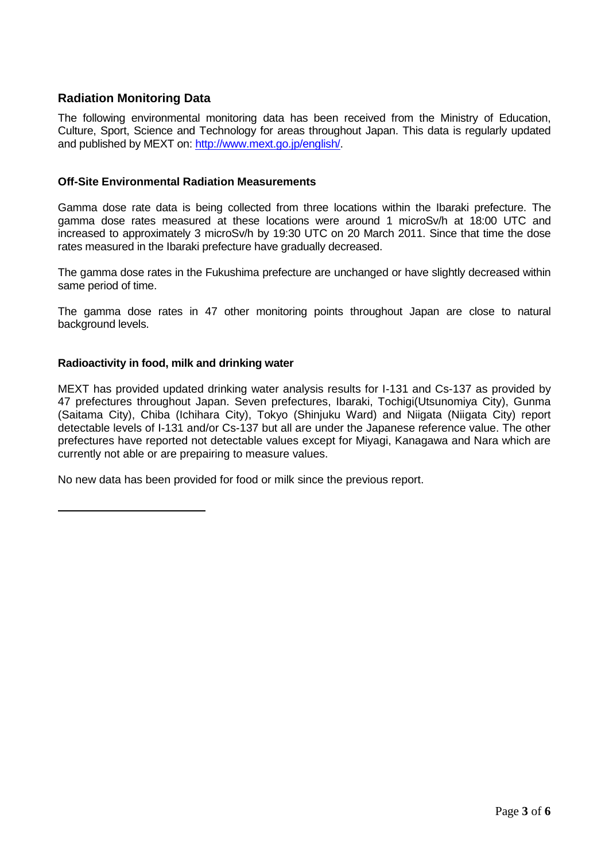## **Radiation Monitoring Data**

The following environmental monitoring data has been received from the Ministry of Education, Culture, Sport, Science and Technology for areas throughout Japan. This data is regularly updated and published by MEXT on: [http://www.mext.go.jp/english/.](http://www.mext.go.jp/english/)

#### **Off-Site Environmental Radiation Measurements**

Gamma dose rate data is being collected from three locations within the Ibaraki prefecture. The gamma dose rates measured at these locations were around 1 microSv/h at 18:00 UTC and increased to approximately 3 microSv/h by 19:30 UTC on 20 March 2011. Since that time the dose rates measured in the Ibaraki prefecture have gradually decreased.

The gamma dose rates in the Fukushima prefecture are unchanged or have slightly decreased within same period of time.

The gamma dose rates in 47 other monitoring points throughout Japan are close to natural background levels.

## **Radioactivity in food, milk and drinking water**

MEXT has provided updated drinking water analysis results for I-131 and Cs-137 as provided by 47 prefectures throughout Japan. Seven prefectures, Ibaraki, Tochigi(Utsunomiya City), Gunma (Saitama City), Chiba (Ichihara City), Tokyo (Shinjuku Ward) and Niigata (Niigata City) report detectable levels of I-131 and/or Cs-137 but all are under the Japanese reference value. The other prefectures have reported not detectable values except for Miyagi, Kanagawa and Nara which are currently not able or are prepairing to measure values.

No new data has been provided for food or milk since the previous report.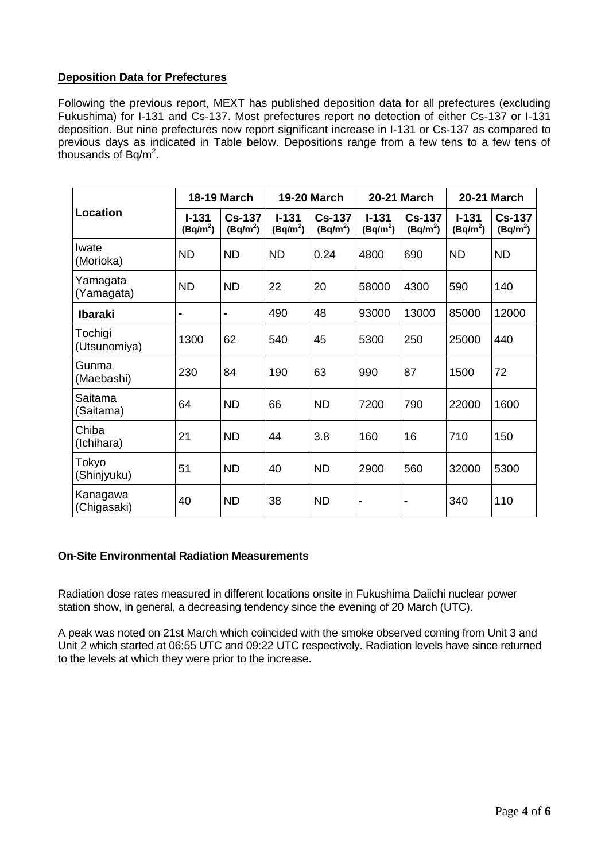## **Deposition Data for Prefectures**

Following the previous report, MEXT has published deposition data for all prefectures (excluding Fukushima) for I-131 and Cs-137. Most prefectures report no detection of either Cs-137 or I-131 deposition. But nine prefectures now report significant increase in I-131 or Cs-137 as compared to previous days as indicated in Table below. Depositions range from a few tens to a few tens of thousands of Bq/m<sup>2</sup>.

| Location                | <b>18-19 March</b>      |                             | <b>19-20 March</b>      |                             | <b>20-21 March</b>      |                             | <b>20-21 March</b>      |                             |
|-------------------------|-------------------------|-----------------------------|-------------------------|-----------------------------|-------------------------|-----------------------------|-------------------------|-----------------------------|
|                         | $I - 131$<br>$(Bq/m^2)$ | <b>Cs-137</b><br>$(Bq/m^2)$ | $I - 131$<br>$(Bq/m^2)$ | <b>Cs-137</b><br>$(Bq/m^2)$ | $I - 131$<br>$(Bq/m^2)$ | <b>Cs-137</b><br>$(Bq/m^2)$ | $I - 131$<br>$(Bq/m^2)$ | <b>Cs-137</b><br>$(Bq/m^2)$ |
| Iwate<br>(Morioka)      | <b>ND</b>               | <b>ND</b>                   | <b>ND</b>               | 0.24                        | 4800                    | 690                         | <b>ND</b>               | <b>ND</b>                   |
| Yamagata<br>(Yamagata)  | <b>ND</b>               | <b>ND</b>                   | 22                      | 20                          | 58000                   | 4300                        | 590                     | 140                         |
| <b>Ibaraki</b>          | Ē.                      | -                           | 490                     | 48                          | 93000                   | 13000                       | 85000                   | 12000                       |
| Tochigi<br>(Utsunomiya) | 1300                    | 62                          | 540                     | 45                          | 5300                    | 250                         | 25000                   | 440                         |
| Gunma<br>(Maebashi)     | 230                     | 84                          | 190                     | 63                          | 990                     | 87                          | 1500                    | 72                          |
| Saitama<br>(Saitama)    | 64                      | <b>ND</b>                   | 66                      | <b>ND</b>                   | 7200                    | 790                         | 22000                   | 1600                        |
| Chiba<br>(Ichihara)     | 21                      | <b>ND</b>                   | 44                      | 3.8                         | 160                     | 16                          | 710                     | 150                         |
| Tokyo<br>(Shinjyuku)    | 51                      | <b>ND</b>                   | 40                      | <b>ND</b>                   | 2900                    | 560                         | 32000                   | 5300                        |
| Kanagawa<br>(Chigasaki) | 40                      | <b>ND</b>                   | 38                      | <b>ND</b>                   | $\blacksquare$          | $\blacksquare$              | 340                     | 110                         |

## **On-Site Environmental Radiation Measurements**

Radiation dose rates measured in different locations onsite in Fukushima Daiichi nuclear power station show, in general, a decreasing tendency since the evening of 20 March (UTC).

A peak was noted on 21st March which coincided with the smoke observed coming from Unit 3 and Unit 2 which started at 06:55 UTC and 09:22 UTC respectively. Radiation levels have since returned to the levels at which they were prior to the increase.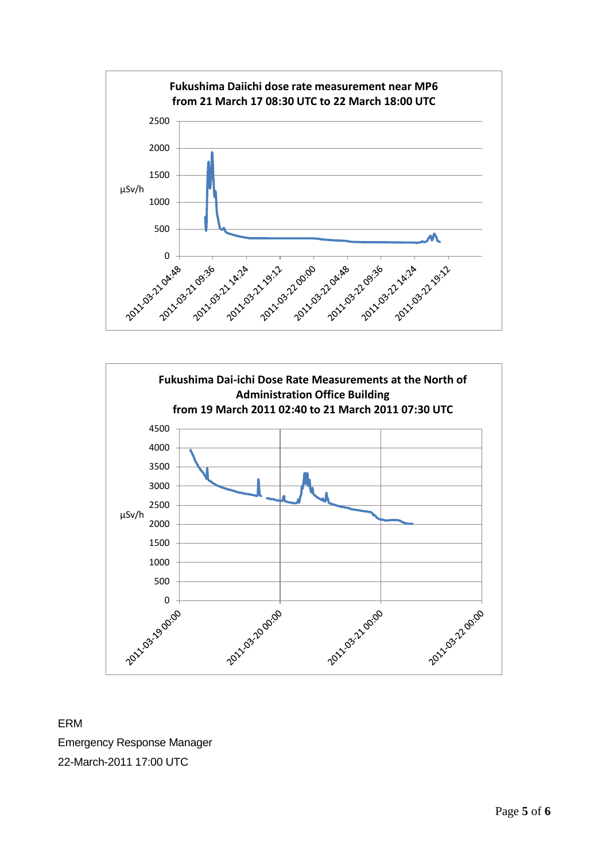



ERM Emergency Response Manager 22-March-2011 17:00 UTC